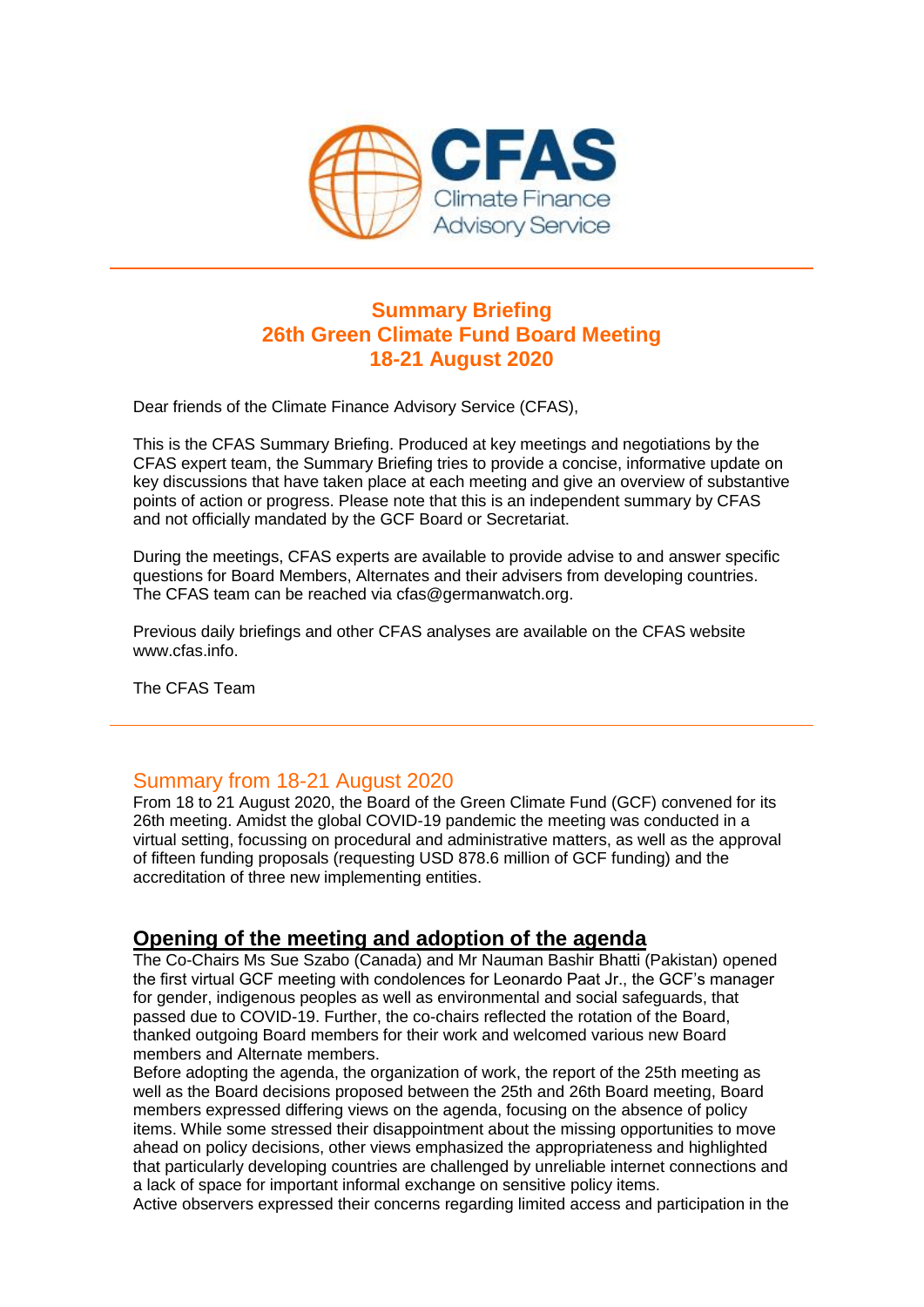

## **Summary Briefing 26th Green Climate Fund Board Meeting 18-21 August 2020**

Dear friends of the Climate Finance Advisory Service (CFAS),

This is the CFAS Summary Briefing. Produced at key meetings and negotiations by the CFAS expert team, the Summary Briefing tries to provide a concise, informative update on key discussions that have taken place at each meeting and give an overview of substantive points of action or progress. Please note that this is an independent summary by CFAS and not officially mandated by the GCF Board or Secretariat.

During the meetings, CFAS experts are available to provide advise to and answer specific questions for Board Members, Alternates and their advisers from developing countries. The CFAS team can be reached via cfas@germanwatch.org.

Previous daily briefings and other CFAS analyses are available on the CFAS website www.cfas.info.

The CFAS Team

### Summary from 18-21 August 2020

From 18 to 21 August 2020, the Board of the Green Climate Fund (GCF) convened for its 26th meeting. Amidst the global COVID-19 pandemic the meeting was conducted in a virtual setting, focussing on procedural and administrative matters, as well as the approval of fifteen funding proposals (requesting USD 878.6 million of GCF funding) and the accreditation of three new implementing entities.

## **Opening of the meeting and adoption of the agenda**

The Co-Chairs Ms Sue Szabo (Canada) and Mr Nauman Bashir Bhatti (Pakistan) opened the first virtual GCF meeting with condolences for Leonardo Paat Jr., the GCF's manager for gender, indigenous peoples as well as environmental and social safeguards, that passed due to COVID-19. Further, the co-chairs reflected the rotation of the Board, thanked outgoing Board members for their work and welcomed various new Board members and Alternate members.

Before adopting the agenda, the organization of work, the report of the 25th meeting as well as the Board decisions proposed between the 25th and 26th Board meeting, Board members expressed differing views on the agenda, focusing on the absence of policy items. While some stressed their disappointment about the missing opportunities to move ahead on policy decisions, other views emphasized the appropriateness and highlighted that particularly developing countries are challenged by unreliable internet connections and a lack of space for important informal exchange on sensitive policy items.

Active observers expressed their concerns regarding limited access and participation in the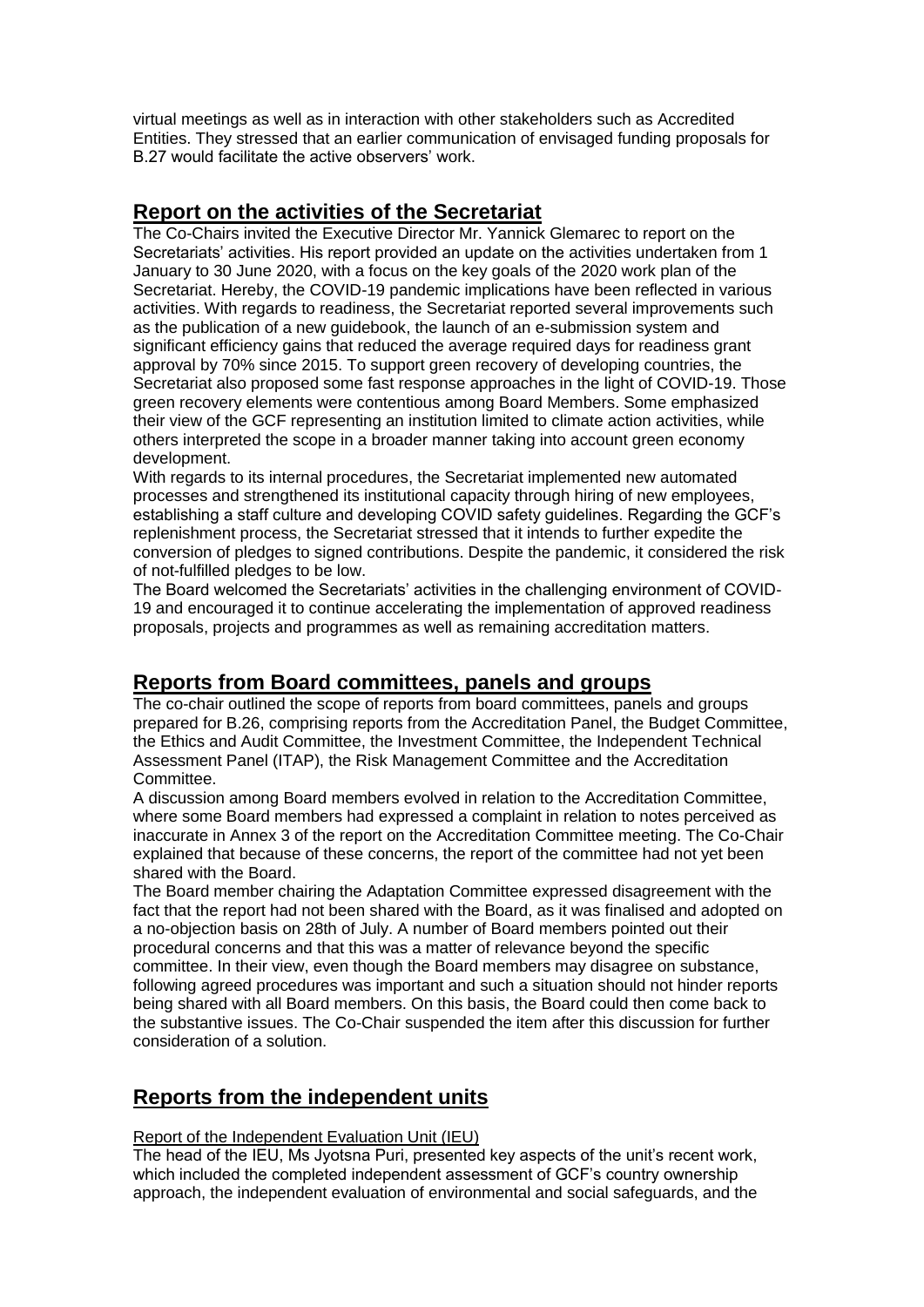virtual meetings as well as in interaction with other stakeholders such as Accredited Entities. They stressed that an earlier communication of envisaged funding proposals for B.27 would facilitate the active observers' work.

## **Report on the activities of the Secretariat**

The Co-Chairs invited the Executive Director Mr. Yannick Glemarec to report on the Secretariats' activities. His report provided an update on the activities undertaken from 1 January to 30 June 2020, with a focus on the key goals of the 2020 work plan of the Secretariat. Hereby, the COVID-19 pandemic implications have been reflected in various activities. With regards to readiness, the Secretariat reported several improvements such as the publication of a new guidebook, the launch of an e-submission system and significant efficiency gains that reduced the average required days for readiness grant approval by 70% since 2015. To support green recovery of developing countries, the Secretariat also proposed some fast response approaches in the light of COVID-19. Those green recovery elements were contentious among Board Members. Some emphasized their view of the GCF representing an institution limited to climate action activities, while others interpreted the scope in a broader manner taking into account green economy development.

With regards to its internal procedures, the Secretariat implemented new automated processes and strengthened its institutional capacity through hiring of new employees, establishing a staff culture and developing COVID safety guidelines. Regarding the GCF's replenishment process, the Secretariat stressed that it intends to further expedite the conversion of pledges to signed contributions. Despite the pandemic, it considered the risk of not-fulfilled pledges to be low.

The Board welcomed the Secretariats' activities in the challenging environment of COVID-19 and encouraged it to continue accelerating the implementation of approved readiness proposals, projects and programmes as well as remaining accreditation matters.

## **Reports from Board committees, panels and groups**

The co-chair outlined the scope of reports from board committees, panels and groups prepared for B.26, comprising reports from the Accreditation Panel, the Budget Committee, the Ethics and Audit Committee, the Investment Committee, the Independent Technical Assessment Panel (ITAP), the Risk Management Committee and the Accreditation Committee.

A discussion among Board members evolved in relation to the Accreditation Committee, where some Board members had expressed a complaint in relation to notes perceived as inaccurate in Annex 3 of the report on the Accreditation Committee meeting. The Co-Chair explained that because of these concerns, the report of the committee had not yet been shared with the Board.

The Board member chairing the Adaptation Committee expressed disagreement with the fact that the report had not been shared with the Board, as it was finalised and adopted on a no-objection basis on 28th of July. A number of Board members pointed out their procedural concerns and that this was a matter of relevance beyond the specific committee. In their view, even though the Board members may disagree on substance, following agreed procedures was important and such a situation should not hinder reports being shared with all Board members. On this basis, the Board could then come back to the substantive issues. The Co-Chair suspended the item after this discussion for further consideration of a solution.

## **Reports from the independent units**

#### Report of the Independent Evaluation Unit (IEU)

The head of the IEU, Ms Jyotsna Puri, presented key aspects of the unit's recent work, which included the completed independent assessment of GCF's country ownership approach, the independent evaluation of environmental and social safeguards, and the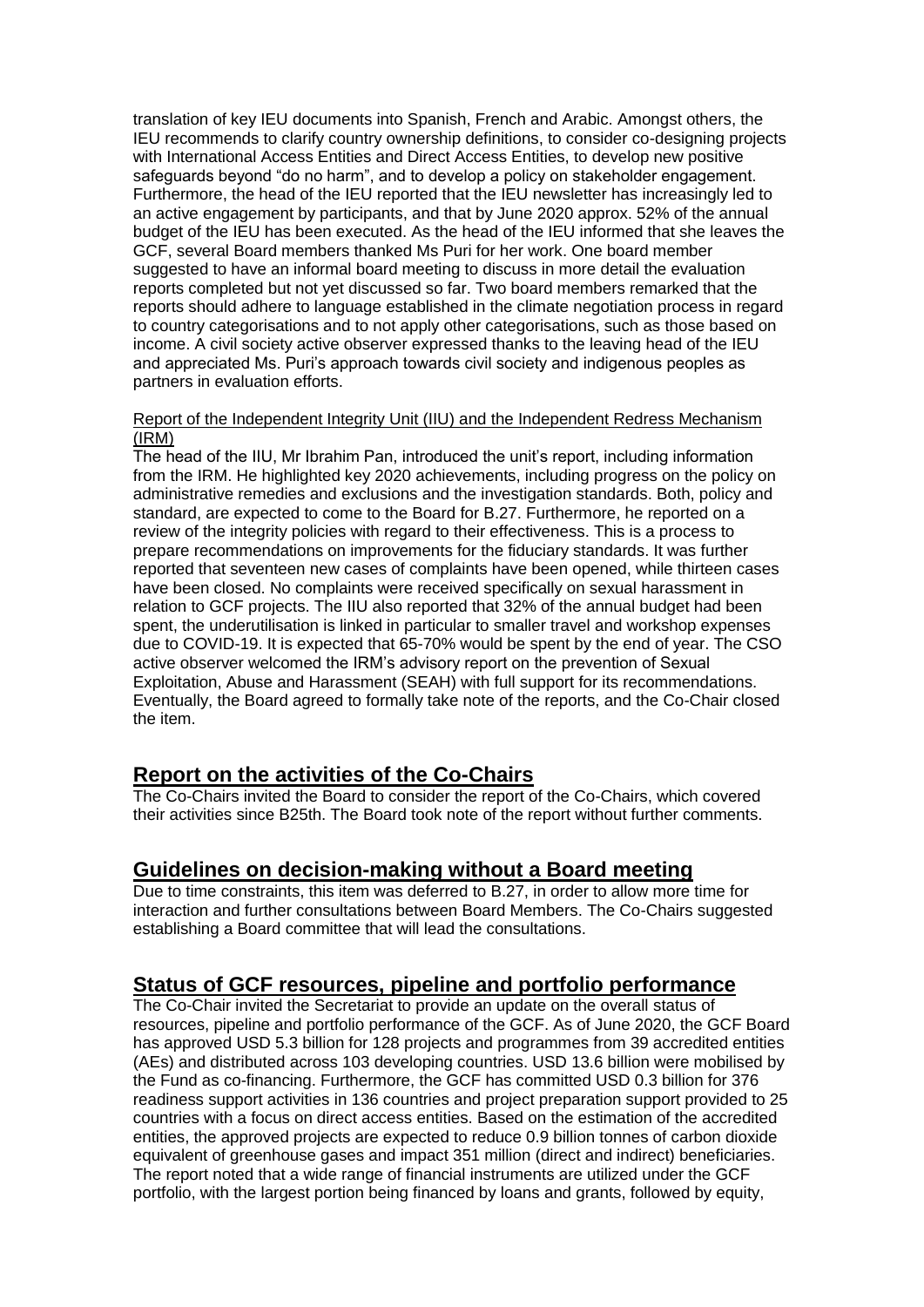translation of key IEU documents into Spanish, French and Arabic. Amongst others, the IEU recommends to clarify country ownership definitions, to consider co-designing projects with International Access Entities and Direct Access Entities, to develop new positive safeguards beyond "do no harm", and to develop a policy on stakeholder engagement. Furthermore, the head of the IEU reported that the IEU newsletter has increasingly led to an active engagement by participants, and that by June 2020 approx. 52% of the annual budget of the IEU has been executed. As the head of the IEU informed that she leaves the GCF, several Board members thanked Ms Puri for her work. One board member suggested to have an informal board meeting to discuss in more detail the evaluation reports completed but not yet discussed so far. Two board members remarked that the reports should adhere to language established in the climate negotiation process in regard to country categorisations and to not apply other categorisations, such as those based on income. A civil society active observer expressed thanks to the leaving head of the IEU and appreciated Ms. Puri's approach towards civil society and indigenous peoples as partners in evaluation efforts.

#### Report of the Independent Integrity Unit (IIU) and the Independent Redress Mechanism (IRM)

The head of the IIU, Mr Ibrahim Pan, introduced the unit's report, including information from the IRM. He highlighted key 2020 achievements, including progress on the policy on administrative remedies and exclusions and the investigation standards. Both, policy and standard, are expected to come to the Board for B.27. Furthermore, he reported on a review of the integrity policies with regard to their effectiveness. This is a process to prepare recommendations on improvements for the fiduciary standards. It was further reported that seventeen new cases of complaints have been opened, while thirteen cases have been closed. No complaints were received specifically on sexual harassment in relation to GCF projects. The IIU also reported that 32% of the annual budget had been spent, the underutilisation is linked in particular to smaller travel and workshop expenses due to COVID-19. It is expected that 65-70% would be spent by the end of year. The CSO active observer welcomed the IRM's advisory report on the prevention of Sexual Exploitation, Abuse and Harassment (SEAH) with full support for its recommendations. Eventually, the Board agreed to formally take note of the reports, and the Co-Chair closed the item.

## **Report on the activities of the Co-Chairs**

The Co-Chairs invited the Board to consider the report of the Co-Chairs, which covered their activities since B25th. The Board took note of the report without further comments.

### **Guidelines on decision-making without a Board meeting**

Due to time constraints, this item was deferred to B.27, in order to allow more time for interaction and further consultations between Board Members. The Co-Chairs suggested establishing a Board committee that will lead the consultations.

## **Status of GCF resources, pipeline and portfolio performance**

The Co-Chair invited the Secretariat to provide an update on the overall status of resources, pipeline and portfolio performance of the GCF. As of June 2020, the GCF Board has approved USD 5.3 billion for 128 projects and programmes from 39 accredited entities (AEs) and distributed across 103 developing countries. USD 13.6 billion were mobilised by the Fund as co-financing. Furthermore, the GCF has committed USD 0.3 billion for 376 readiness support activities in 136 countries and project preparation support provided to 25 countries with a focus on direct access entities. Based on the estimation of the accredited entities, the approved projects are expected to reduce 0.9 billion tonnes of carbon dioxide equivalent of greenhouse gases and impact 351 million (direct and indirect) beneficiaries. The report noted that a wide range of financial instruments are utilized under the GCF portfolio, with the largest portion being financed by loans and grants, followed by equity,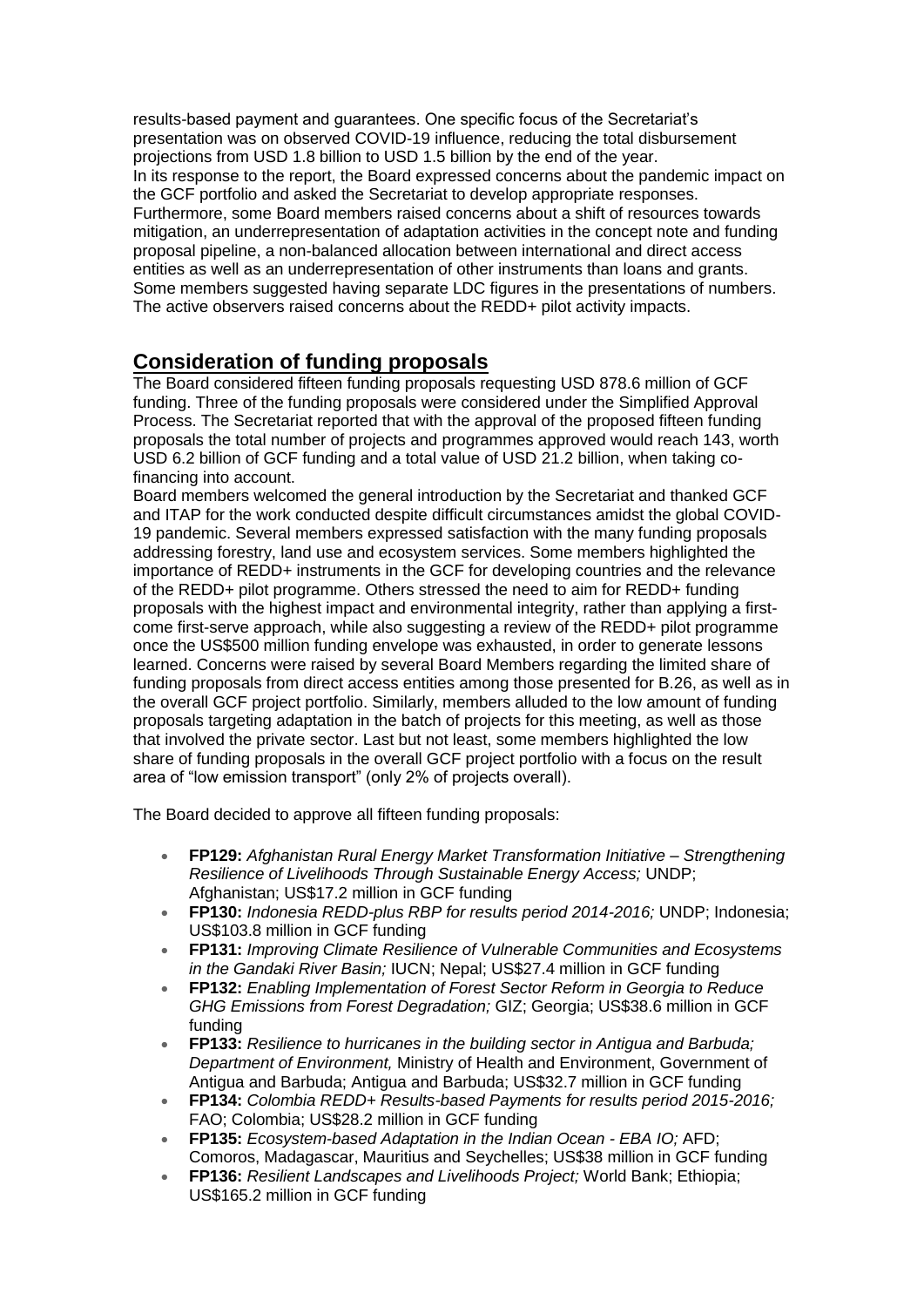results-based payment and guarantees. One specific focus of the Secretariat's presentation was on observed COVID-19 influence, reducing the total disbursement projections from USD 1.8 billion to USD 1.5 billion by the end of the year. In its response to the report, the Board expressed concerns about the pandemic impact on the GCF portfolio and asked the Secretariat to develop appropriate responses. Furthermore, some Board members raised concerns about a shift of resources towards mitigation, an underrepresentation of adaptation activities in the concept note and funding proposal pipeline, a non-balanced allocation between international and direct access entities as well as an underrepresentation of other instruments than loans and grants. Some members suggested having separate LDC figures in the presentations of numbers. The active observers raised concerns about the REDD+ pilot activity impacts.

## **Consideration of funding proposals**

The Board considered fifteen funding proposals requesting USD 878.6 million of GCF funding. Three of the funding proposals were considered under the Simplified Approval Process. The Secretariat reported that with the approval of the proposed fifteen funding proposals the total number of projects and programmes approved would reach 143, worth USD 6.2 billion of GCF funding and a total value of USD 21.2 billion, when taking cofinancing into account.

Board members welcomed the general introduction by the Secretariat and thanked GCF and ITAP for the work conducted despite difficult circumstances amidst the global COVID-19 pandemic. Several members expressed satisfaction with the many funding proposals addressing forestry, land use and ecosystem services. Some members highlighted the importance of REDD+ instruments in the GCF for developing countries and the relevance of the REDD+ pilot programme. Others stressed the need to aim for REDD+ funding proposals with the highest impact and environmental integrity, rather than applying a firstcome first-serve approach, while also suggesting a review of the REDD+ pilot programme once the US\$500 million funding envelope was exhausted, in order to generate lessons learned. Concerns were raised by several Board Members regarding the limited share of funding proposals from direct access entities among those presented for B.26, as well as in the overall GCF project portfolio. Similarly, members alluded to the low amount of funding proposals targeting adaptation in the batch of projects for this meeting, as well as those that involved the private sector. Last but not least, some members highlighted the low share of funding proposals in the overall GCF project portfolio with a focus on the result area of "low emission transport" (only 2% of projects overall).

The Board decided to approve all fifteen funding proposals:

- **FP129:** *Afghanistan Rural Energy Market Transformation Initiative – Strengthening Resilience of Livelihoods Through Sustainable Energy Access;* UNDP; Afghanistan; US\$17.2 million in GCF funding
- **FP130:** *Indonesia REDD-plus RBP for results period 2014-2016;* UNDP; Indonesia; US\$103.8 million in GCF funding
- **FP131:** *Improving Climate Resilience of Vulnerable Communities and Ecosystems in the Gandaki River Basin;* IUCN; Nepal; US\$27.4 million in GCF funding
- **FP132:** *Enabling Implementation of Forest Sector Reform in Georgia to Reduce GHG Emissions from Forest Degradation;* GIZ; Georgia; US\$38.6 million in GCF funding
- **FP133:** *Resilience to hurricanes in the building sector in Antigua and Barbuda; Department of Environment,* Ministry of Health and Environment, Government of Antigua and Barbuda; Antigua and Barbuda; US\$32.7 million in GCF funding
- **FP134:** *Colombia REDD+ Results-based Payments for results period 2015-2016;*  FAO; Colombia; US\$28.2 million in GCF funding
- **FP135:** *Ecosystem-based Adaptation in the Indian Ocean - EBA IO;* AFD; Comoros, Madagascar, Mauritius and Seychelles; US\$38 million in GCF funding
- **FP136:** *Resilient Landscapes and Livelihoods Project;* World Bank; Ethiopia; US\$165.2 million in GCF funding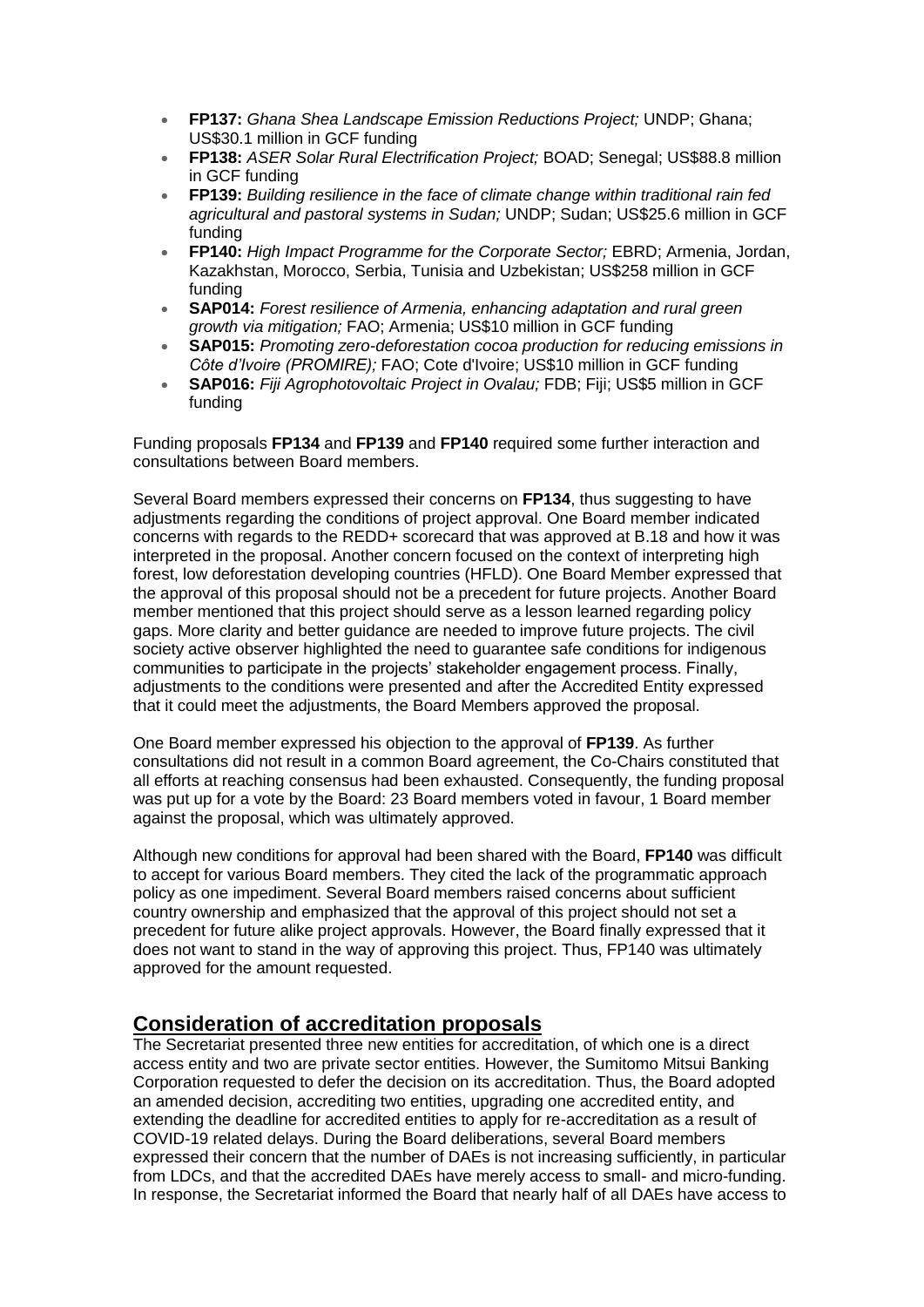- **FP137:** *Ghana Shea Landscape Emission Reductions Project;* UNDP; Ghana; US\$30.1 million in GCF funding
- **FP138:** *ASER Solar Rural Electrification Project;* BOAD; Senegal; US\$88.8 million in GCF funding
- **FP139:** *Building resilience in the face of climate change within traditional rain fed agricultural and pastoral systems in Sudan;* UNDP; Sudan; US\$25.6 million in GCF funding
- **FP140:** *High Impact Programme for the Corporate Sector;* EBRD; Armenia, Jordan, Kazakhstan, Morocco, Serbia, Tunisia and Uzbekistan; US\$258 million in GCF funding
- **SAP014:** *Forest resilience of Armenia, enhancing adaptation and rural green growth via mitigation;* FAO; Armenia; US\$10 million in GCF funding
- **SAP015:** *Promoting zero-deforestation cocoa production for reducing emissions in Côte d'Ivoire (PROMIRE);* FAO; Cote d'Ivoire; US\$10 million in GCF funding
- **SAP016:** *Fiji Agrophotovoltaic Project in Ovalau;* FDB; Fiji; US\$5 million in GCF funding

Funding proposals **FP134** and **FP139** and **FP140** required some further interaction and consultations between Board members.

Several Board members expressed their concerns on **FP134**, thus suggesting to have adjustments regarding the conditions of project approval. One Board member indicated concerns with regards to the REDD+ scorecard that was approved at B.18 and how it was interpreted in the proposal. Another concern focused on the context of interpreting high forest, low deforestation developing countries (HFLD). One Board Member expressed that the approval of this proposal should not be a precedent for future projects. Another Board member mentioned that this project should serve as a lesson learned regarding policy gaps. More clarity and better guidance are needed to improve future projects. The civil society active observer highlighted the need to guarantee safe conditions for indigenous communities to participate in the projects' stakeholder engagement process. Finally, adjustments to the conditions were presented and after the Accredited Entity expressed that it could meet the adjustments, the Board Members approved the proposal.

One Board member expressed his objection to the approval of **FP139**. As further consultations did not result in a common Board agreement, the Co-Chairs constituted that all efforts at reaching consensus had been exhausted. Consequently, the funding proposal was put up for a vote by the Board: 23 Board members voted in favour, 1 Board member against the proposal, which was ultimately approved.

Although new conditions for approval had been shared with the Board, **FP140** was difficult to accept for various Board members. They cited the lack of the programmatic approach policy as one impediment. Several Board members raised concerns about sufficient country ownership and emphasized that the approval of this project should not set a precedent for future alike project approvals. However, the Board finally expressed that it does not want to stand in the way of approving this project. Thus, FP140 was ultimately approved for the amount requested.

## **Consideration of accreditation proposals**

The Secretariat presented three new entities for accreditation, of which one is a direct access entity and two are private sector entities. However, the Sumitomo Mitsui Banking Corporation requested to defer the decision on its accreditation. Thus, the Board adopted an amended decision, accrediting two entities, upgrading one accredited entity, and extending the deadline for accredited entities to apply for re-accreditation as a result of COVID-19 related delays. During the Board deliberations, several Board members expressed their concern that the number of DAEs is not increasing sufficiently, in particular from LDCs, and that the accredited DAEs have merely access to small- and micro-funding. In response, the Secretariat informed the Board that nearly half of all DAEs have access to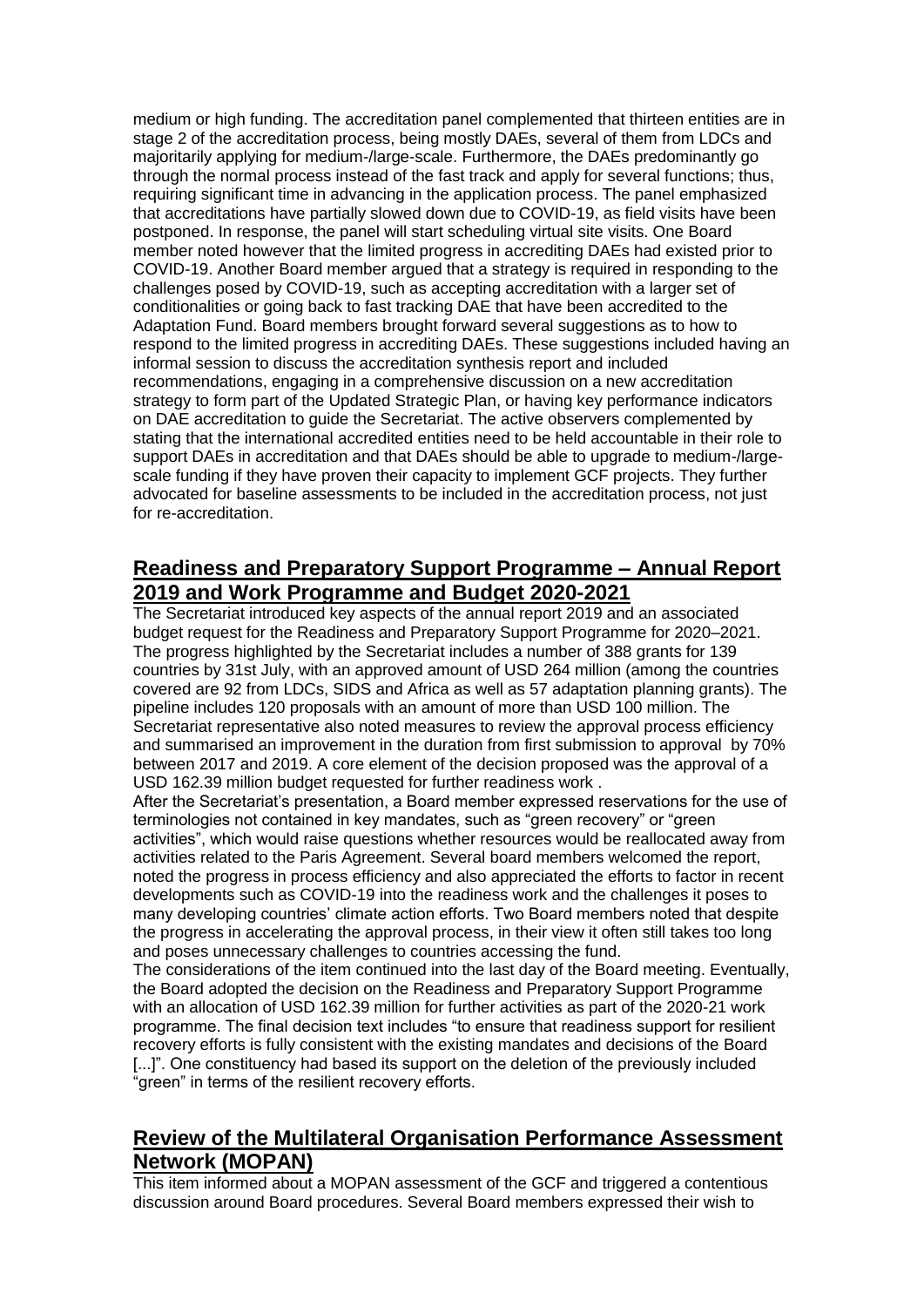medium or high funding. The accreditation panel complemented that thirteen entities are in stage 2 of the accreditation process, being mostly DAEs, several of them from LDCs and majoritarily applying for medium-/large-scale. Furthermore, the DAEs predominantly go through the normal process instead of the fast track and apply for several functions; thus, requiring significant time in advancing in the application process. The panel emphasized that accreditations have partially slowed down due to COVID-19, as field visits have been postponed. In response, the panel will start scheduling virtual site visits. One Board member noted however that the limited progress in accrediting DAEs had existed prior to COVID-19. Another Board member argued that a strategy is required in responding to the challenges posed by COVID-19, such as accepting accreditation with a larger set of conditionalities or going back to fast tracking DAE that have been accredited to the Adaptation Fund. Board members brought forward several suggestions as to how to respond to the limited progress in accrediting DAEs. These suggestions included having an informal session to discuss the accreditation synthesis report and included recommendations, engaging in a comprehensive discussion on a new accreditation strategy to form part of the Updated Strategic Plan, or having key performance indicators on DAE accreditation to guide the Secretariat. The active observers complemented by stating that the international accredited entities need to be held accountable in their role to support DAEs in accreditation and that DAEs should be able to upgrade to medium-/largescale funding if they have proven their capacity to implement GCF projects. They further advocated for baseline assessments to be included in the accreditation process, not just for re-accreditation.

### **Readiness and Preparatory Support Programme – Annual Report 2019 and Work Programme and Budget 2020-2021**

The Secretariat introduced key aspects of the annual report 2019 and an associated budget request for the Readiness and Preparatory Support Programme for 2020–2021. The progress highlighted by the Secretariat includes a number of 388 grants for 139 countries by 31st July, with an approved amount of USD 264 million (among the countries covered are 92 from LDCs, SIDS and Africa as well as 57 adaptation planning grants). The pipeline includes 120 proposals with an amount of more than USD 100 million. The Secretariat representative also noted measures to review the approval process efficiency and summarised an improvement in the duration from first submission to approval by 70% between 2017 and 2019. A core element of the decision proposed was the approval of a USD 162.39 million budget requested for further readiness work .

After the Secretariat's presentation, a Board member expressed reservations for the use of terminologies not contained in key mandates, such as "green recovery" or "green activities", which would raise questions whether resources would be reallocated away from activities related to the Paris Agreement. Several board members welcomed the report, noted the progress in process efficiency and also appreciated the efforts to factor in recent developments such as COVID-19 into the readiness work and the challenges it poses to many developing countries' climate action efforts. Two Board members noted that despite the progress in accelerating the approval process, in their view it often still takes too long and poses unnecessary challenges to countries accessing the fund.

The considerations of the item continued into the last day of the Board meeting. Eventually, the Board adopted the decision on the Readiness and Preparatory Support Programme with an allocation of USD 162.39 million for further activities as part of the 2020-21 work programme. The final decision text includes "to ensure that readiness support for resilient recovery efforts is fully consistent with the existing mandates and decisions of the Board [...]". One constituency had based its support on the deletion of the previously included "green" in terms of the resilient recovery efforts.

## **Review of the Multilateral Organisation Performance Assessment Network (MOPAN)**

This item informed about a MOPAN assessment of the GCF and triggered a contentious discussion around Board procedures. Several Board members expressed their wish to